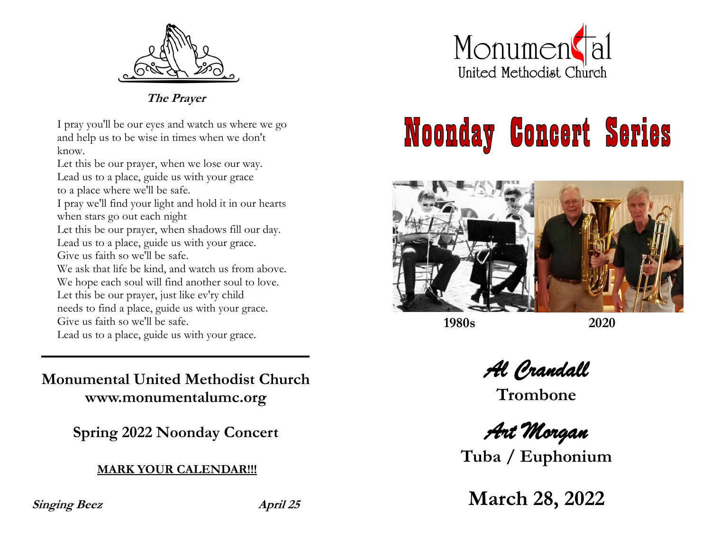

**The Prayer**

I pray you'll be our eyes and watch us where we go and help us to be wise in times when we don't know.

Let this be our prayer, when we lose our way. Lead us to a place, guide us with your grace to a place where we'll be safe.

I pray we'll find your light and hold it in our hearts when stars go out each night

Let this be our prayer, when shadows fill our day. Lead us to a place, guide us with your grace.

Give us faith so we'll be safe.

We ask that life be kind, and watch us from above.

We hope each soul will find another soul to love.

Let this be our prayer, just like ev'ry child

needs to find a place, guide us with your grace.

Give us faith so we'll be safe.

Lead us to a place, guide us with your grace.

**Monumental United Methodist Church www.monumentalumc.org**

**Spring 2022 Noonday Concert**

**MARK YOUR CALENDAR!!!**

**Singing Beez April 25**



## **Noonday Concert Series**



**1980s 2020**

*Al Crandall* 

**Trombone**

*Art Morgan* 

**Tuba / Euphonium**

**March 28, 2022**